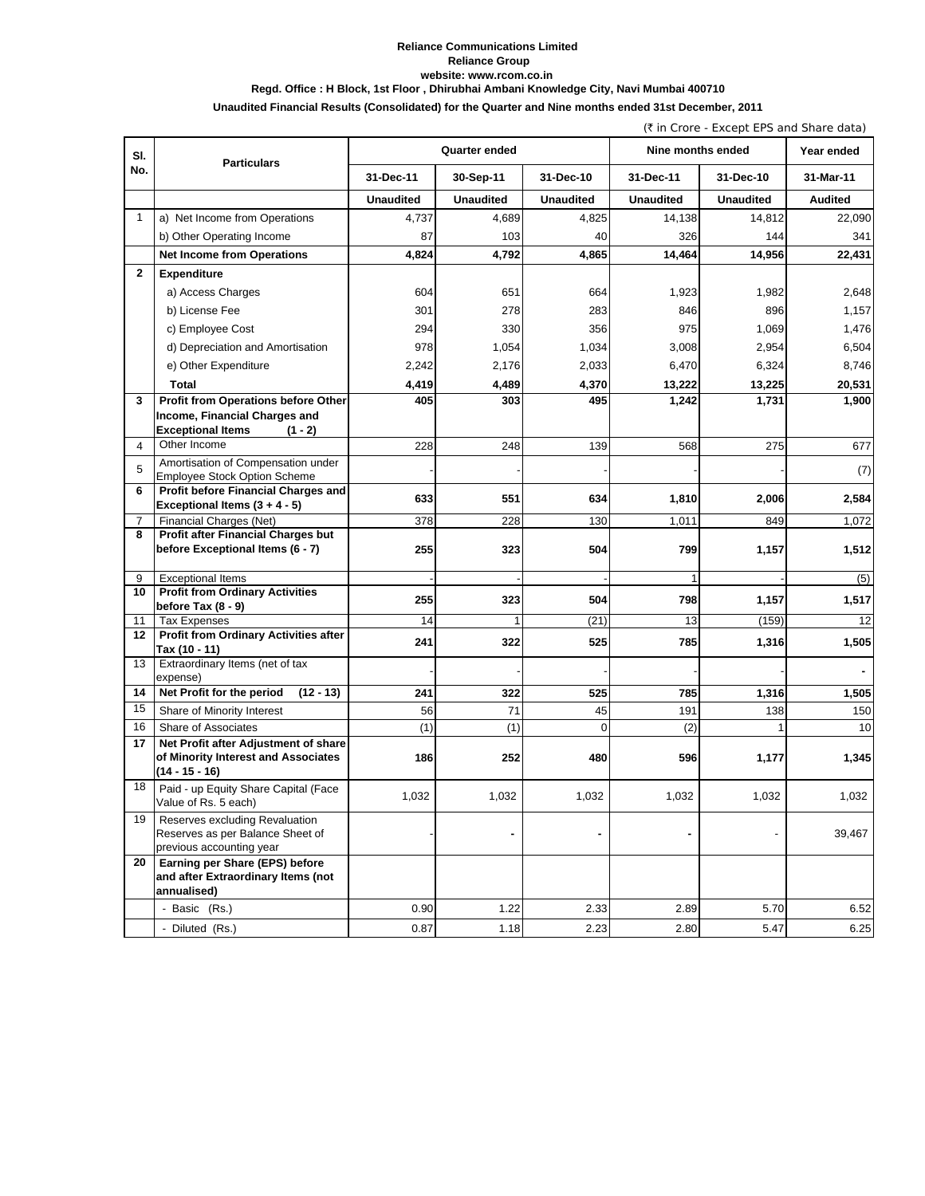### **Reliance Communications Limited Reliance Group website: www.rcom.co.in Regd. Office : H Block, 1st Floor , Dhirubhai Ambani Knowledge City, Navi Mumbai 400710**

## **Unaudited Financial Results (Consolidated) for the Quarter and Nine months ended 31st December, 2011**

(` in Crore - Except EPS and Share data)

| SI.            |                                                                                                 |                  | Quarter ended    |                  | Nine months ended |                  | Year ended     |
|----------------|-------------------------------------------------------------------------------------------------|------------------|------------------|------------------|-------------------|------------------|----------------|
| No.            | <b>Particulars</b>                                                                              | 31-Dec-11        | 30-Sep-11        | 31-Dec-10        | 31-Dec-11         | 31-Dec-10        | 31-Mar-11      |
|                |                                                                                                 | <b>Unaudited</b> | <b>Unaudited</b> | <b>Unaudited</b> | <b>Unaudited</b>  | <b>Unaudited</b> | <b>Audited</b> |
| $\mathbf{1}$   | a) Net Income from Operations                                                                   | 4,737            | 4,689            | 4,825            | 14,138            | 14,812           | 22,090         |
|                | b) Other Operating Income                                                                       | 87               | 103              | 40               | 326               | 144              | 341            |
|                | <b>Net Income from Operations</b>                                                               | 4,824            | 4,792            | 4,865            | 14,464            | 14,956           | 22,431         |
| $\mathbf{2}$   | <b>Expenditure</b>                                                                              |                  |                  |                  |                   |                  |                |
|                | a) Access Charges                                                                               | 604              | 651              | 664              | 1,923             | 1,982            | 2,648          |
|                | b) License Fee                                                                                  | 301              | 278              | 283              | 846               | 896              | 1,157          |
|                | c) Employee Cost                                                                                | 294              | 330              | 356              | 975               | 1,069            | 1,476          |
|                | d) Depreciation and Amortisation                                                                | 978              | 1,054            | 1,034            | 3,008             | 2,954            | 6,504          |
|                |                                                                                                 |                  |                  |                  |                   |                  |                |
|                | e) Other Expenditure                                                                            | 2,242            | 2,176            | 2,033            | 6,470             | 6,324            | 8,746          |
|                | Total                                                                                           | 4,419            | 4,489            | 4,370            | 13,222            | 13,225           | 20,531         |
| 3              | Profit from Operations before Other<br>Income, Financial Charges and                            | 405              | 303              | 495              | 1,242             | 1,731            | 1,900          |
|                | <b>Exceptional Items</b><br>$(1 - 2)$                                                           |                  |                  |                  |                   |                  |                |
| $\overline{4}$ | Other Income                                                                                    | 228              | 248              | 139              | 568               | 275              | 677            |
| 5              | Amortisation of Compensation under                                                              |                  |                  |                  |                   |                  |                |
|                | <b>Employee Stock Option Scheme</b>                                                             |                  |                  |                  |                   |                  | (7)            |
| 6              | Profit before Financial Charges and<br>Exceptional Items $(3 + 4 - 5)$                          | 633              | 551              | 634              | 1,810             | 2,006            | 2,584          |
| $\overline{7}$ | Financial Charges (Net)                                                                         | 378              | 228              | 130              | 1,011             | 849              | 1,072          |
| 8              | <b>Profit after Financial Charges but</b><br>before Exceptional Items (6 - 7)                   | 255              | 323              | 504              | 799               | 1,157            | 1,512          |
| 9              | <b>Exceptional Items</b>                                                                        |                  |                  |                  | 1                 |                  | (5)            |
| 10             | <b>Profit from Ordinary Activities</b><br>before Tax (8 - 9)                                    | 255              | 323              | 504              | 798               | 1,157            | 1,517          |
| 11             | Tax Expenses                                                                                    | 14               |                  | (21)             | 13                | (159)            | 12             |
| 12             | <b>Profit from Ordinary Activities after</b>                                                    | 241              | 322              | 525              | 785               | 1,316            | 1,505          |
|                | Tax (10 - 11)                                                                                   |                  |                  |                  |                   |                  |                |
| 13             | Extraordinary Items (net of tax<br>expense)                                                     |                  |                  |                  |                   |                  |                |
| 14             | Net Profit for the period<br>$(12 - 13)$                                                        | 241              | 322              | 525              | 785               | 1,316            | 1,505          |
| 15             | Share of Minority Interest                                                                      | 56               | 71               | 45               | 191               | 138              | 150            |
| 16             | Share of Associates                                                                             | (1)              | (1)              | $\Omega$         | (2)               | $\mathbf{1}$     | 10             |
| 17             | Net Profit after Adjustment of share<br>of Minority Interest and Associates<br>$(14 - 15 - 16)$ | 186              | 252              | 480              | 596               | 1,177            | 1,345          |
| 18             | Paid - up Equity Share Capital (Face<br>Value of Rs. 5 each)                                    | 1,032            | 1,032            | 1,032            | 1,032             | 1,032            | 1,032          |
| 19             | Reserves excluding Revaluation<br>Reserves as per Balance Sheet of<br>previous accounting year  |                  |                  |                  |                   |                  | 39,467         |
| 20             | Earning per Share (EPS) before<br>and after Extraordinary Items (not<br>annualised)             |                  |                  |                  |                   |                  |                |
|                | - Basic (Rs.)                                                                                   | 0.90             | 1.22             | 2.33             | 2.89              | 5.70             | 6.52           |
|                | - Diluted (Rs.)                                                                                 | 0.87             | 1.18             | 2.23             | 2.80              | 5.47             | 6.25           |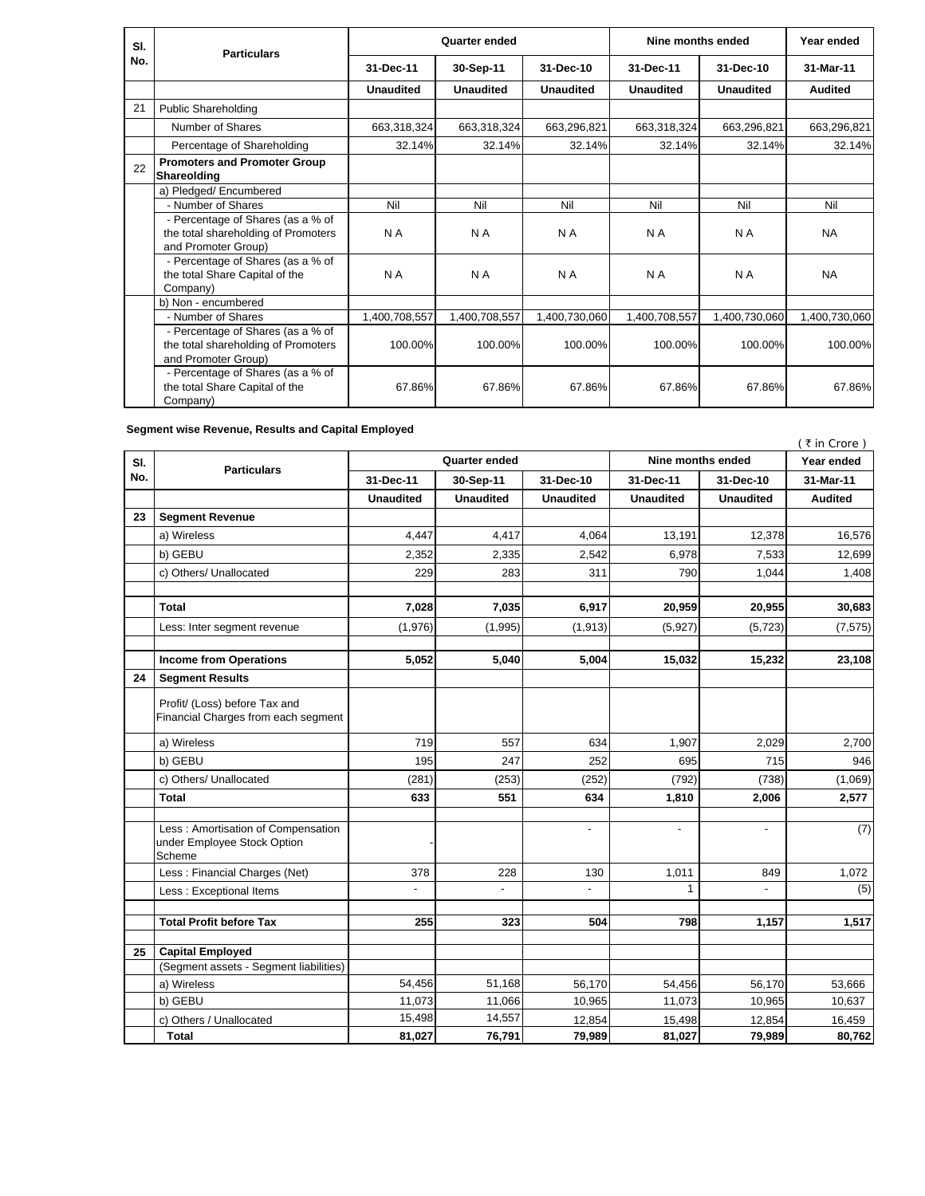| SI. | <b>Particulars</b>                                                                              | Quarter ended    |               |               | Nine months ended |               | Year ended     |
|-----|-------------------------------------------------------------------------------------------------|------------------|---------------|---------------|-------------------|---------------|----------------|
| No. |                                                                                                 | 31-Dec-11        | 30-Sep-11     | 31-Dec-10     | 31-Dec-11         | 31-Dec-10     | 31-Mar-11      |
|     |                                                                                                 | <b>Unaudited</b> | Unaudited     | Unaudited     | Unaudited         | Unaudited     | <b>Audited</b> |
| 21  | <b>Public Shareholding</b>                                                                      |                  |               |               |                   |               |                |
|     | Number of Shares                                                                                | 663,318,324      | 663,318,324   | 663,296,821   | 663,318,324       | 663,296,821   | 663,296,821    |
|     | Percentage of Shareholding                                                                      | 32.14%           | 32.14%        | 32.14%        | 32.14%            | 32.14%        | 32.14%         |
| 22  | <b>Promoters and Promoter Group</b><br>Shareolding                                              |                  |               |               |                   |               |                |
|     | a) Pledged/ Encumbered                                                                          |                  |               |               |                   |               |                |
|     | - Number of Shares                                                                              | Nil              | Nil           | Nil           | Nil               | Nil           | Nil            |
|     | - Percentage of Shares (as a % of<br>the total shareholding of Promoters<br>and Promoter Group) | N A              | N A           | N A           | N A               | N A           | <b>NA</b>      |
|     | - Percentage of Shares (as a % of<br>the total Share Capital of the<br>Company)                 | N A              | N A           | N A           | N A               | N A           | <b>NA</b>      |
|     | b) Non - encumbered                                                                             |                  |               |               |                   |               |                |
|     | - Number of Shares                                                                              | 1,400,708,557    | 1,400,708,557 | 1,400,730,060 | 1,400,708,557     | 1,400,730,060 | 1,400,730,060  |
|     | - Percentage of Shares (as a % of<br>the total shareholding of Promoters<br>and Promoter Group) | 100.00%          | 100.00%       | 100.00%       | 100.00%           | 100.00%       | 100.00%        |
|     | - Percentage of Shares (as a % of<br>the total Share Capital of the<br>Company)                 | 67.86%           | 67.86%        | 67.86%        | 67.86%            | 67.86%        | 67.86%         |

**Segment wise Revenue, Results and Capital Employed**

| SI.<br>No. | <b>Particulars</b>                                                          | <b>Quarter ended</b>   |                  |                  | Nine months ended        |                          | (₹in Crore)<br>Year ended |
|------------|-----------------------------------------------------------------------------|------------------------|------------------|------------------|--------------------------|--------------------------|---------------------------|
|            |                                                                             | 31-Dec-11<br>30-Sep-11 |                  | 31-Dec-10        | 31-Dec-11                |                          | 31-Mar-11                 |
|            |                                                                             |                        |                  |                  |                          | 31-Dec-10                |                           |
|            |                                                                             | <b>Unaudited</b>       | <b>Unaudited</b> | <b>Unaudited</b> | <b>Unaudited</b>         | <b>Unaudited</b>         | <b>Audited</b>            |
| 23         | <b>Segment Revenue</b>                                                      |                        |                  |                  |                          |                          |                           |
|            | a) Wireless                                                                 | 4,447                  | 4,417            | 4,064            | 13,191                   | 12,378                   | 16,576                    |
|            | b) GEBU                                                                     | 2,352                  | 2,335            | 2,542            | 6,978                    | 7,533                    | 12,699                    |
|            | c) Others/ Unallocated                                                      | 229                    | 283              | 311              | 790                      | 1,044                    | 1,408                     |
|            | Total                                                                       | 7,028                  | 7,035            | 6,917            | 20,959                   | 20,955                   | 30,683                    |
|            | Less: Inter segment revenue                                                 | (1,976)                | (1,995)          | (1, 913)         | (5,927)                  | (5, 723)                 | (7, 575)                  |
|            | <b>Income from Operations</b>                                               | 5,052                  | 5,040            | 5,004            | 15,032                   | 15,232                   | 23,108                    |
| 24         | <b>Segment Results</b>                                                      |                        |                  |                  |                          |                          |                           |
|            | Profit/ (Loss) before Tax and<br>Financial Charges from each segment        |                        |                  |                  |                          |                          |                           |
|            | a) Wireless                                                                 | 719                    | 557              | 634              | 1,907                    | 2,029                    | 2,700                     |
|            | b) GEBU                                                                     | 195                    | 247              | 252              | 695                      | 715                      | 946                       |
|            | c) Others/ Unallocated                                                      | (281)                  | (253)            | (252)            | (792)                    | (738)                    | (1,069)                   |
|            | Total                                                                       | 633                    | 551              | 634              | 1,810                    | 2,006                    | 2,577                     |
|            | Less: Amortisation of Compensation<br>under Employee Stock Option<br>Scheme |                        |                  | $\overline{a}$   | $\overline{\phantom{a}}$ | $\overline{\phantom{a}}$ | (7)                       |
|            | Less: Financial Charges (Net)                                               | 378                    | 228              | 130              | 1,011                    | 849                      | 1,072                     |
|            | Less : Exceptional Items                                                    | $\overline{a}$         | $\overline{a}$   | $\overline{a}$   | $\mathbf{1}$             |                          | (5)                       |
|            | <b>Total Profit before Tax</b>                                              | 255                    | 323              | 504              | 798                      | 1,157                    | 1,517                     |
|            |                                                                             |                        |                  |                  |                          |                          |                           |
| 25         | <b>Capital Employed</b><br>(Segment assets - Segment liabilities)           |                        |                  |                  |                          |                          |                           |
|            | a) Wireless                                                                 | 54,456                 | 51,168           | 56,170           | 54,456                   | 56,170                   | 53,666                    |
|            | b) GEBU                                                                     | 11,073                 | 11,066           | 10,965           | 11,073                   | 10,965                   | 10,637                    |
|            | c) Others / Unallocated                                                     | 15,498                 | 14,557           | 12,854           | 15,498                   | 12,854                   | 16,459                    |
|            | <b>Total</b>                                                                | 81,027                 | 76,791           | 79,989           | 81,027                   | 79,989                   | 80,762                    |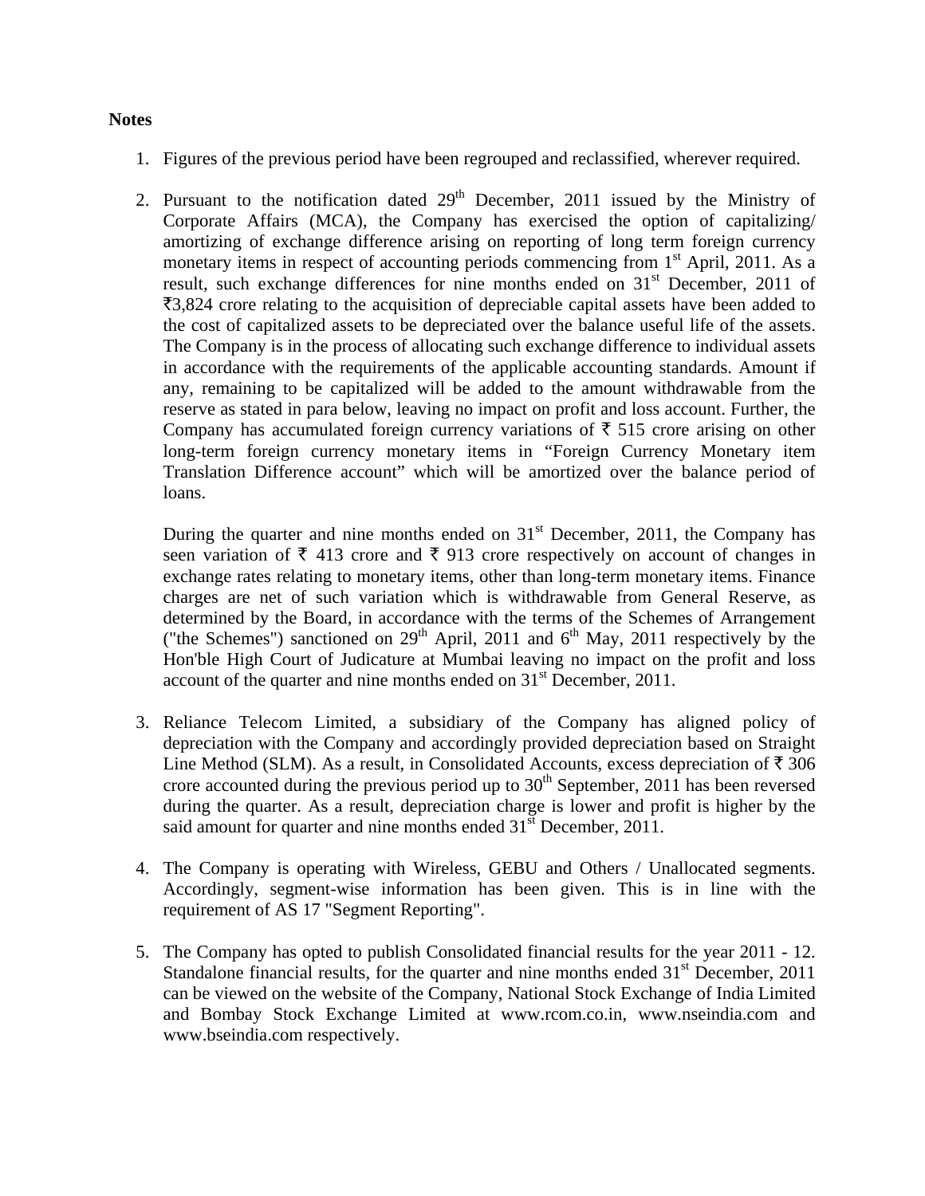## **Notes**

- 1. Figures of the previous period have been regrouped and reclassified, wherever required.
- 2. Pursuant to the notification dated  $29<sup>th</sup>$  December, 2011 issued by the Ministry of Corporate Affairs (MCA), the Company has exercised the option of capitalizing/ amortizing of exchange difference arising on reporting of long term foreign currency monetary items in respect of accounting periods commencing from  $1<sup>st</sup>$  April, 2011. As a result, such exchange differences for nine months ended on 31<sup>st</sup> December, 2011 of  $\overline{3}3,824$  crore relating to the acquisition of depreciable capital assets have been added to the cost of capitalized assets to be depreciated over the balance useful life of the assets. The Company is in the process of allocating such exchange difference to individual assets in accordance with the requirements of the applicable accounting standards. Amount if any, remaining to be capitalized will be added to the amount withdrawable from the reserve as stated in para below, leaving no impact on profit and loss account. Further, the Company has accumulated foreign currency variations of  $\bar{\tau}$  515 crore arising on other long-term foreign currency monetary items in "Foreign Currency Monetary item Translation Difference account" which will be amortized over the balance period of loans.

During the quarter and nine months ended on  $31<sup>st</sup>$  December, 2011, the Company has seen variation of  $\bar{\xi}$  413 crore and  $\bar{\xi}$  913 crore respectively on account of changes in exchange rates relating to monetary items, other than long-term monetary items. Finance charges are net of such variation which is withdrawable from General Reserve, as determined by the Board, in accordance with the terms of the Schemes of Arrangement ("the Schemes") sanctioned on  $29<sup>th</sup>$  April, 2011 and  $6<sup>th</sup>$  May, 2011 respectively by the Hon'ble High Court of Judicature at Mumbai leaving no impact on the profit and loss account of the quarter and nine months ended on  $31<sup>st</sup>$  December, 2011.

- 3. Reliance Telecom Limited, a subsidiary of the Company has aligned policy of depreciation with the Company and accordingly provided depreciation based on Straight Line Method (SLM). As a result, in Consolidated Accounts, excess depreciation of  $\bar{\tau}$  306 crore accounted during the previous period up to  $30<sup>th</sup>$  September, 2011 has been reversed during the quarter. As a result, depreciation charge is lower and profit is higher by the said amount for quarter and nine months ended  $31<sup>st</sup>$  December, 2011.
- 4. The Company is operating with Wireless, GEBU and Others / Unallocated segments. Accordingly, segment-wise information has been given. This is in line with the requirement of AS 17 "Segment Reporting".
- 5. The Company has opted to publish Consolidated financial results for the year 2011 12. Standalone financial results, for the quarter and nine months ended  $31<sup>st</sup>$  December, 2011 can be viewed on the website of the Company, National Stock Exchange of India Limited and Bombay Stock Exchange Limited at www.rcom.co.in, www.nseindia.com and www.bseindia.com respectively.